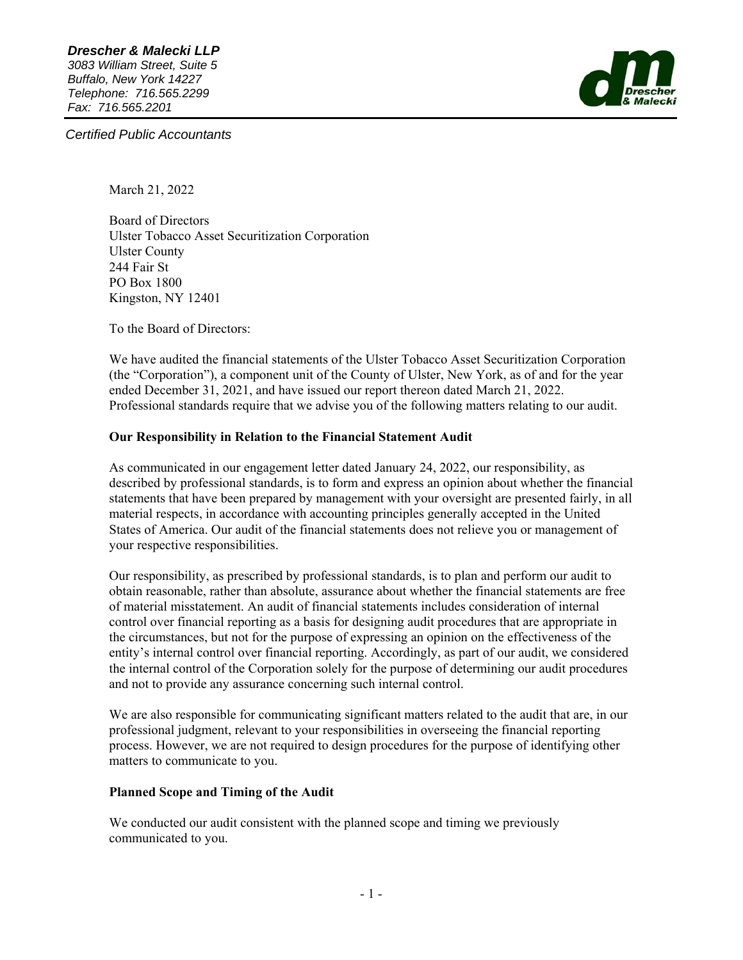

*Certified Public Accountants* 

March 21, 2022

Board of Directors Ulster Tobacco Asset Securitization Corporation Ulster County 244 Fair St PO Box 1800 Kingston, NY 12401

To the Board of Directors:

We have audited the financial statements of the Ulster Tobacco Asset Securitization Corporation (the "Corporation"), a component unit of the County of Ulster, New York, as of and for the year ended December 31, 2021, and have issued our report thereon dated March 21, 2022. Professional standards require that we advise you of the following matters relating to our audit.

## **Our Responsibility in Relation to the Financial Statement Audit**

As communicated in our engagement letter dated January 24, 2022, our responsibility, as described by professional standards, is to form and express an opinion about whether the financial statements that have been prepared by management with your oversight are presented fairly, in all material respects, in accordance with accounting principles generally accepted in the United States of America. Our audit of the financial statements does not relieve you or management of your respective responsibilities.

Our responsibility, as prescribed by professional standards, is to plan and perform our audit to obtain reasonable, rather than absolute, assurance about whether the financial statements are free of material misstatement. An audit of financial statements includes consideration of internal control over financial reporting as a basis for designing audit procedures that are appropriate in the circumstances, but not for the purpose of expressing an opinion on the effectiveness of the entity's internal control over financial reporting. Accordingly, as part of our audit, we considered the internal control of the Corporation solely for the purpose of determining our audit procedures and not to provide any assurance concerning such internal control.

We are also responsible for communicating significant matters related to the audit that are, in our professional judgment, relevant to your responsibilities in overseeing the financial reporting process. However, we are not required to design procedures for the purpose of identifying other matters to communicate to you.

#### **Planned Scope and Timing of the Audit**

We conducted our audit consistent with the planned scope and timing we previously communicated to you.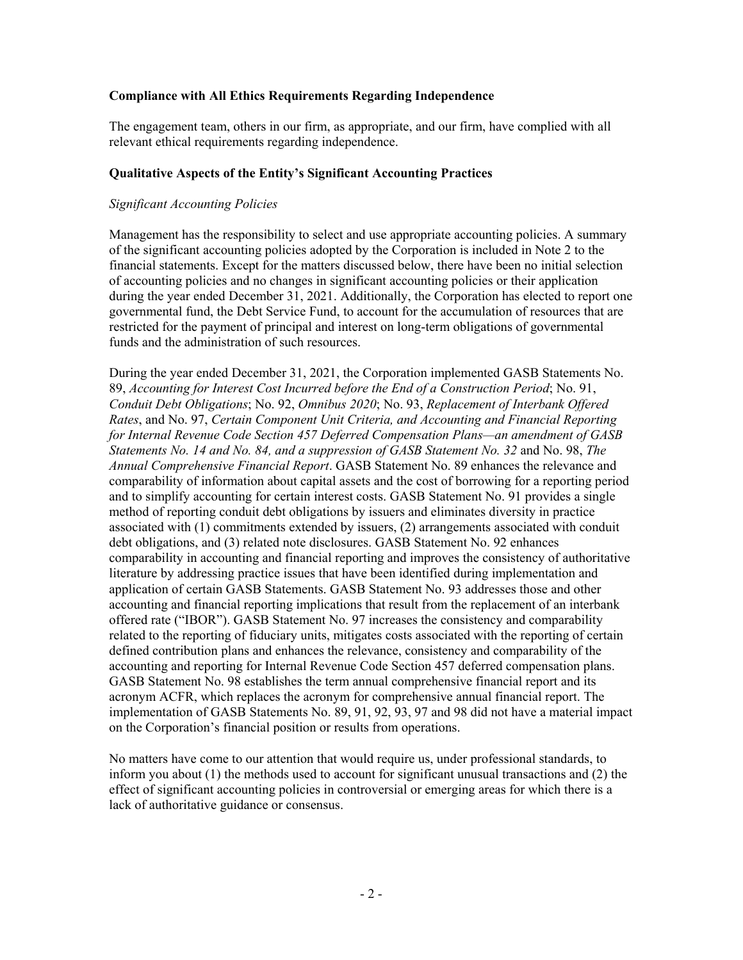#### **Compliance with All Ethics Requirements Regarding Independence**

The engagement team, others in our firm, as appropriate, and our firm, have complied with all relevant ethical requirements regarding independence.

#### **Qualitative Aspects of the Entity's Significant Accounting Practices**

#### *Significant Accounting Policies*

Management has the responsibility to select and use appropriate accounting policies. A summary of the significant accounting policies adopted by the Corporation is included in Note 2 to the financial statements. Except for the matters discussed below, there have been no initial selection of accounting policies and no changes in significant accounting policies or their application during the year ended December 31, 2021. Additionally, the Corporation has elected to report one governmental fund, the Debt Service Fund, to account for the accumulation of resources that are restricted for the payment of principal and interest on long-term obligations of governmental funds and the administration of such resources.

During the year ended December 31, 2021, the Corporation implemented GASB Statements No. 89, *Accounting for Interest Cost Incurred before the End of a Construction Period*; No. 91, *Conduit Debt Obligations*; No. 92, *Omnibus 2020*; No. 93, *Replacement of Interbank Offered Rates*, and No. 97, *Certain Component Unit Criteria, and Accounting and Financial Reporting for Internal Revenue Code Section 457 Deferred Compensation Plans—an amendment of GASB Statements No. 14 and No. 84, and a suppression of GASB Statement No. 32* and No. 98, *The Annual Comprehensive Financial Report*. GASB Statement No. 89 enhances the relevance and comparability of information about capital assets and the cost of borrowing for a reporting period and to simplify accounting for certain interest costs. GASB Statement No. 91 provides a single method of reporting conduit debt obligations by issuers and eliminates diversity in practice associated with (1) commitments extended by issuers, (2) arrangements associated with conduit debt obligations, and (3) related note disclosures. GASB Statement No. 92 enhances comparability in accounting and financial reporting and improves the consistency of authoritative literature by addressing practice issues that have been identified during implementation and application of certain GASB Statements. GASB Statement No. 93 addresses those and other accounting and financial reporting implications that result from the replacement of an interbank offered rate ("IBOR"). GASB Statement No. 97 increases the consistency and comparability related to the reporting of fiduciary units, mitigates costs associated with the reporting of certain defined contribution plans and enhances the relevance, consistency and comparability of the accounting and reporting for Internal Revenue Code Section 457 deferred compensation plans. GASB Statement No. 98 establishes the term annual comprehensive financial report and its acronym ACFR, which replaces the acronym for comprehensive annual financial report. The implementation of GASB Statements No. 89, 91, 92, 93, 97 and 98 did not have a material impact on the Corporation's financial position or results from operations.

No matters have come to our attention that would require us, under professional standards, to inform you about (1) the methods used to account for significant unusual transactions and (2) the effect of significant accounting policies in controversial or emerging areas for which there is a lack of authoritative guidance or consensus.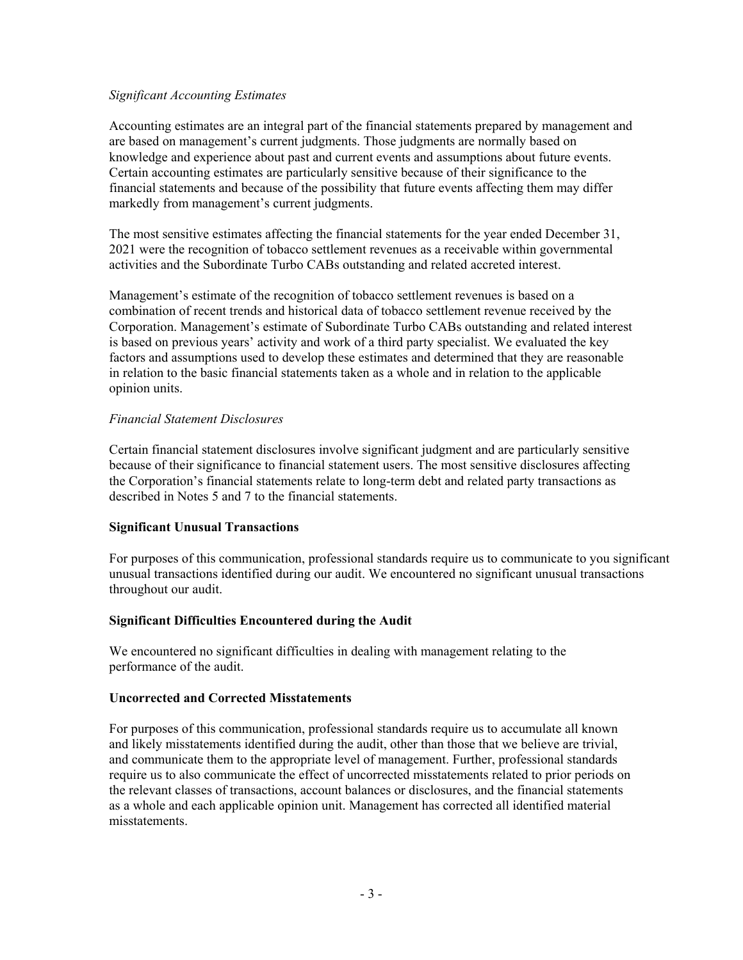#### *Significant Accounting Estimates*

Accounting estimates are an integral part of the financial statements prepared by management and are based on management's current judgments. Those judgments are normally based on knowledge and experience about past and current events and assumptions about future events. Certain accounting estimates are particularly sensitive because of their significance to the financial statements and because of the possibility that future events affecting them may differ markedly from management's current judgments.

The most sensitive estimates affecting the financial statements for the year ended December 31, 2021 were the recognition of tobacco settlement revenues as a receivable within governmental activities and the Subordinate Turbo CABs outstanding and related accreted interest.

Management's estimate of the recognition of tobacco settlement revenues is based on a combination of recent trends and historical data of tobacco settlement revenue received by the Corporation. Management's estimate of Subordinate Turbo CABs outstanding and related interest is based on previous years' activity and work of a third party specialist. We evaluated the key factors and assumptions used to develop these estimates and determined that they are reasonable in relation to the basic financial statements taken as a whole and in relation to the applicable opinion units.

#### *Financial Statement Disclosures*

Certain financial statement disclosures involve significant judgment and are particularly sensitive because of their significance to financial statement users. The most sensitive disclosures affecting the Corporation's financial statements relate to long-term debt and related party transactions as described in Notes 5 and 7 to the financial statements.

#### **Significant Unusual Transactions**

For purposes of this communication, professional standards require us to communicate to you significant unusual transactions identified during our audit. We encountered no significant unusual transactions throughout our audit.

#### **Significant Difficulties Encountered during the Audit**

We encountered no significant difficulties in dealing with management relating to the performance of the audit.

#### **Uncorrected and Corrected Misstatements**

For purposes of this communication, professional standards require us to accumulate all known and likely misstatements identified during the audit, other than those that we believe are trivial, and communicate them to the appropriate level of management. Further, professional standards require us to also communicate the effect of uncorrected misstatements related to prior periods on the relevant classes of transactions, account balances or disclosures, and the financial statements as a whole and each applicable opinion unit. Management has corrected all identified material misstatements.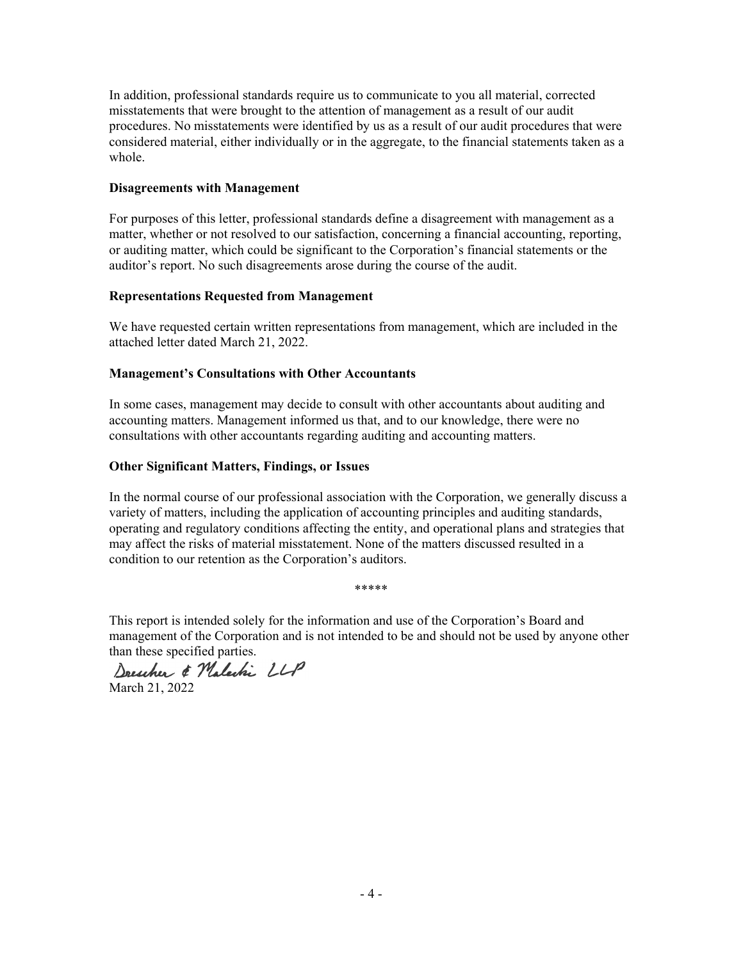In addition, professional standards require us to communicate to you all material, corrected misstatements that were brought to the attention of management as a result of our audit procedures. No misstatements were identified by us as a result of our audit procedures that were considered material, either individually or in the aggregate, to the financial statements taken as a whole.

#### **Disagreements with Management**

For purposes of this letter, professional standards define a disagreement with management as a matter, whether or not resolved to our satisfaction, concerning a financial accounting, reporting, or auditing matter, which could be significant to the Corporation's financial statements or the auditor's report. No such disagreements arose during the course of the audit.

## **Representations Requested from Management**

We have requested certain written representations from management, which are included in the attached letter dated March 21, 2022.

## **Management's Consultations with Other Accountants**

In some cases, management may decide to consult with other accountants about auditing and accounting matters. Management informed us that, and to our knowledge, there were no consultations with other accountants regarding auditing and accounting matters.

### **Other Significant Matters, Findings, or Issues**

In the normal course of our professional association with the Corporation, we generally discuss a variety of matters, including the application of accounting principles and auditing standards, operating and regulatory conditions affecting the entity, and operational plans and strategies that may affect the risks of material misstatement. None of the matters discussed resulted in a condition to our retention as the Corporation's auditors.

This report is intended solely for the information and use of the Corporation's Board and management of the Corporation and is not intended to be and should not be used by anyone other

\*\*\*\*\*

than these specified parties.<br>Drescher & Malechi LLP

March 21, 2022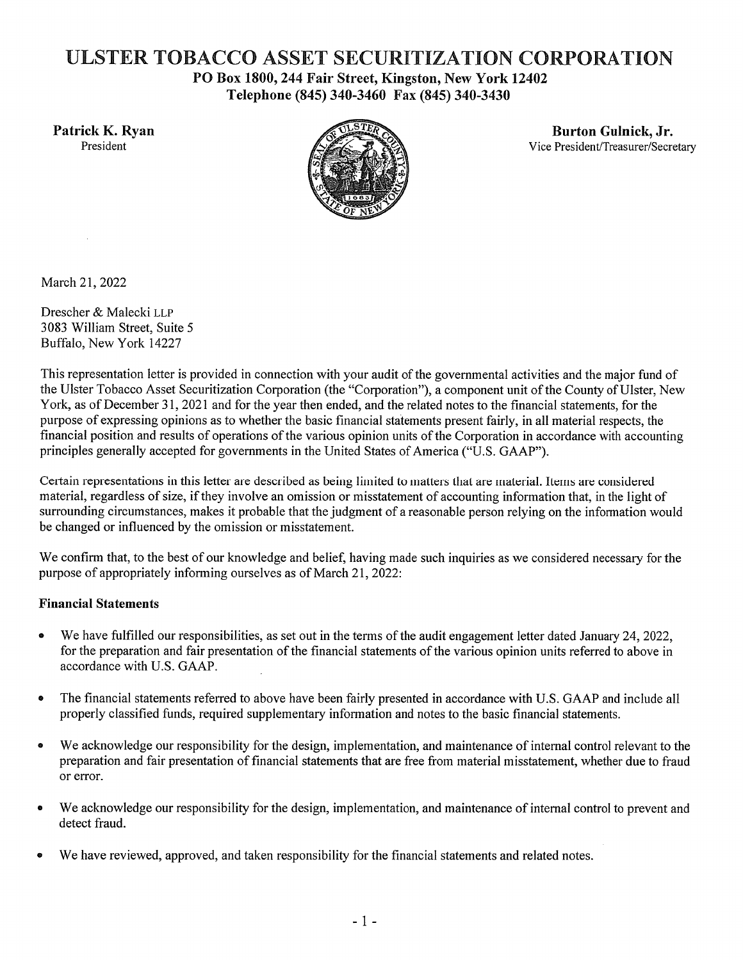# ULSTER TOBACCO ASSET SECURITIZATION CORPORATION

PO Box 1800, 244 Fair Street, Kingston, New York 12402 Telephone (845) 340-3460 Fax (845) 340-3430

Patrick K. Ryan President



**Burton Gulnick, Jr.** Vice President/Treasurer/Secretary

March 21, 2022

Drescher & Malecki LLP 3083 William Street, Suite 5 Buffalo, New York 14227

This representation letter is provided in connection with your audit of the governmental activities and the major fund of the Ulster Tobacco Asset Securitization Corporation (the "Corporation"), a component unit of the County of Ulster, New York, as of December 31, 2021 and for the year then ended, and the related notes to the financial statements, for the purpose of expressing opinions as to whether the basic financial statements present fairly, in all material respects, the financial position and results of operations of the various opinion units of the Corporation in accordance with accounting principles generally accepted for governments in the United States of America ("U.S. GAAP").

Certain representations in this letter are described as being limited to matters that are material. Items are considered material, regardless of size, if they involve an omission or misstatement of accounting information that, in the light of surrounding circumstances, makes it probable that the judgment of a reasonable person relying on the information would be changed or influenced by the omission or misstatement.

We confirm that, to the best of our knowledge and belief, having made such inquiries as we considered necessary for the purpose of appropriately informing ourselves as of March 21, 2022:

## **Financial Statements**

- We have fulfilled our responsibilities, as set out in the terms of the audit engagement letter dated January 24, 2022, for the preparation and fair presentation of the financial statements of the various opinion units referred to above in accordance with U.S. GAAP.
- The financial statements referred to above have been fairly presented in accordance with U.S. GAAP and include all  $\bullet$ properly classified funds, required supplementary information and notes to the basic financial statements.
- We acknowledge our responsibility for the design, implementation, and maintenance of internal control relevant to the preparation and fair presentation of financial statements that are free from material misstatement, whether due to fraud or error.
- We acknowledge our responsibility for the design, implementation, and maintenance of internal control to prevent and detect fraud.
- We have reviewed, approved, and taken responsibility for the financial statements and related notes.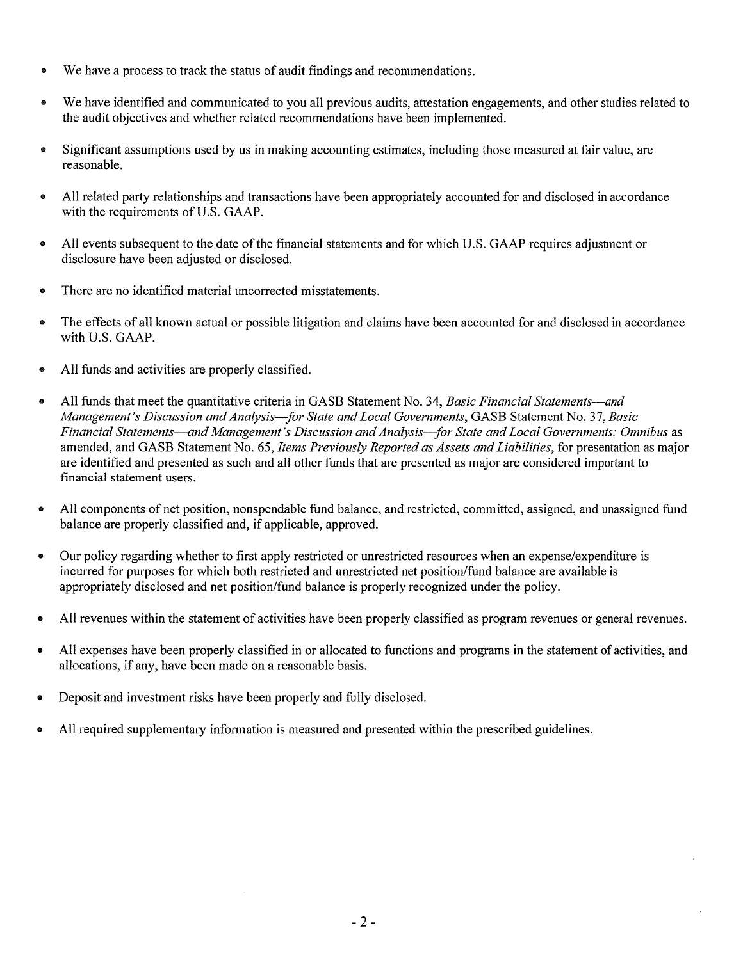- We have a process to track the status of audit findings and recommendations.
- We have identified and communicated to you all previous audits, attestation engagements, and other studies related to  $\bullet$ the audit objectives and whether related recommendations have been implemented.
- Significant assumptions used by us in making accounting estimates, including those measured at fair value, are  $\bullet$ reasonable.
- All related party relationships and transactions have been appropriately accounted for and disclosed in accordance with the requirements of U.S. GAAP.
- All events subsequent to the date of the financial statements and for which U.S. GAAP requires adjustment or  $\bullet$ disclosure have been adjusted or disclosed.
- There are no identified material uncorrected misstatements.  $\bullet$
- The effects of all known actual or possible litigation and claims have been accounted for and disclosed in accordance  $\bullet$ with U.S. GAAP.
- All funds and activities are properly classified.  $\bullet$
- All funds that meet the quantitative criteria in GASB Statement No. 34, Basic Financial Statements—and  $\bullet$ Management's Discussion and Analysis-for State and Local Governments, GASB Statement No. 37, Basic Financial Statements—and Management's Discussion and Analysis—for State and Local Governments: Omnibus as amended, and GASB Statement No. 65, Items Previously Reported as Assets and Liabilities, for presentation as major are identified and presented as such and all other funds that are presented as major are considered important to financial statement users.
- All components of net position, nonspendable fund balance, and restricted, committed, assigned, and unassigned fund  $\bullet$ balance are properly classified and, if applicable, approved.
- Our policy regarding whether to first apply restricted or unrestricted resources when an expense/expenditure is  $\bullet$ incurred for purposes for which both restricted and unrestricted net position/fund balance are available is appropriately disclosed and net position/fund balance is properly recognized under the policy.
- All revenues within the statement of activities have been properly classified as program revenues or general revenues.  $\bullet$
- All expenses have been properly classified in or allocated to functions and programs in the statement of activities, and  $\bullet$ allocations, if any, have been made on a reasonable basis.
- Deposit and investment risks have been properly and fully disclosed.
- All required supplementary information is measured and presented within the prescribed guidelines.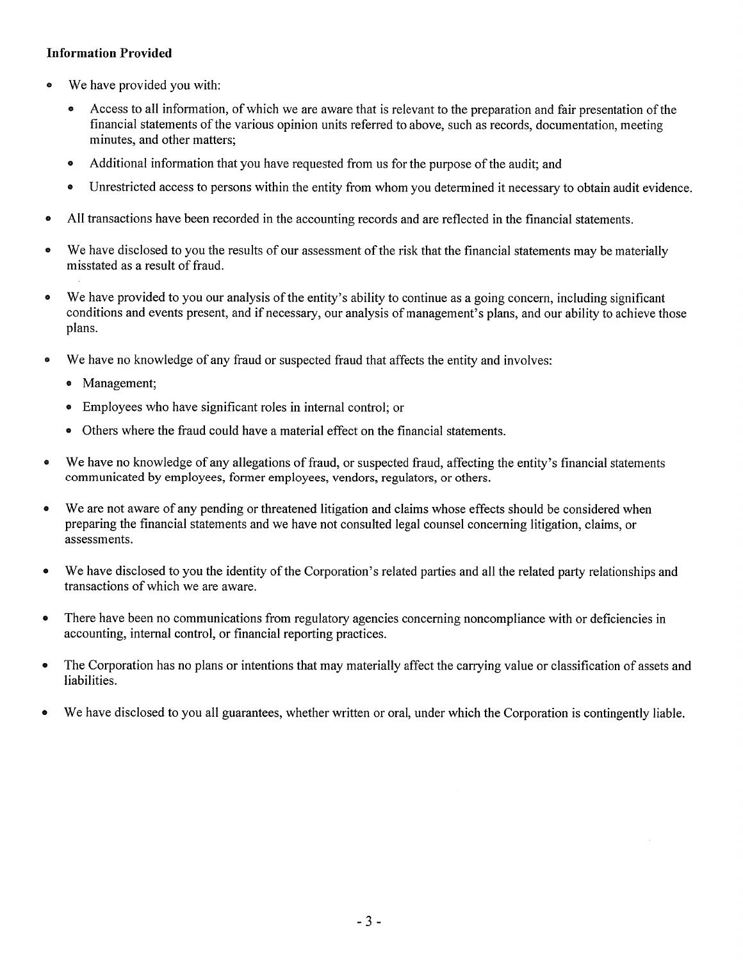## **Information Provided**

- We have provided you with:  $\bullet$ 
	- Access to all information, of which we are aware that is relevant to the preparation and fair presentation of the financial statements of the various opinion units referred to above, such as records, documentation, meeting minutes, and other matters;
	- Additional information that you have requested from us for the purpose of the audit: and  $\bullet$
	- Unrestricted access to persons within the entity from whom you determined it necessary to obtain audit evidence.  $\bullet$
- All transactions have been recorded in the accounting records and are reflected in the financial statements.  $\bullet$
- We have disclosed to you the results of our assessment of the risk that the financial statements may be materially  $\bullet$ misstated as a result of fraud.
- We have provided to you our analysis of the entity's ability to continue as a going concern, including significant  $\bullet$ conditions and events present, and if necessary, our analysis of management's plans, and our ability to achieve those plans.
- We have no knowledge of any fraud or suspected fraud that affects the entity and involves:  $\bullet$ 
	- Management:
	- Employees who have significant roles in internal control; or  $\bullet$
	- Others where the fraud could have a material effect on the financial statements.
- We have no knowledge of any allegations of fraud, or suspected fraud, affecting the entity's financial statements  $\bullet$ communicated by employees, former employees, vendors, regulators, or others.
- We are not aware of any pending or threatened litigation and claims whose effects should be considered when  $\bullet$ preparing the financial statements and we have not consulted legal counsel concerning litigation, claims, or assessments.
- We have disclosed to you the identity of the Corporation's related parties and all the related party relationships and  $\bullet$ transactions of which we are aware.
- $\bullet$ There have been no communications from regulatory agencies concerning noncompliance with or deficiencies in accounting, internal control, or financial reporting practices.
- The Corporation has no plans or intentions that may materially affect the carrying value or classification of assets and  $\bullet$ liabilities.
- We have disclosed to you all guarantees, whether written or oral, under which the Corporation is contingently liable.  $\bullet$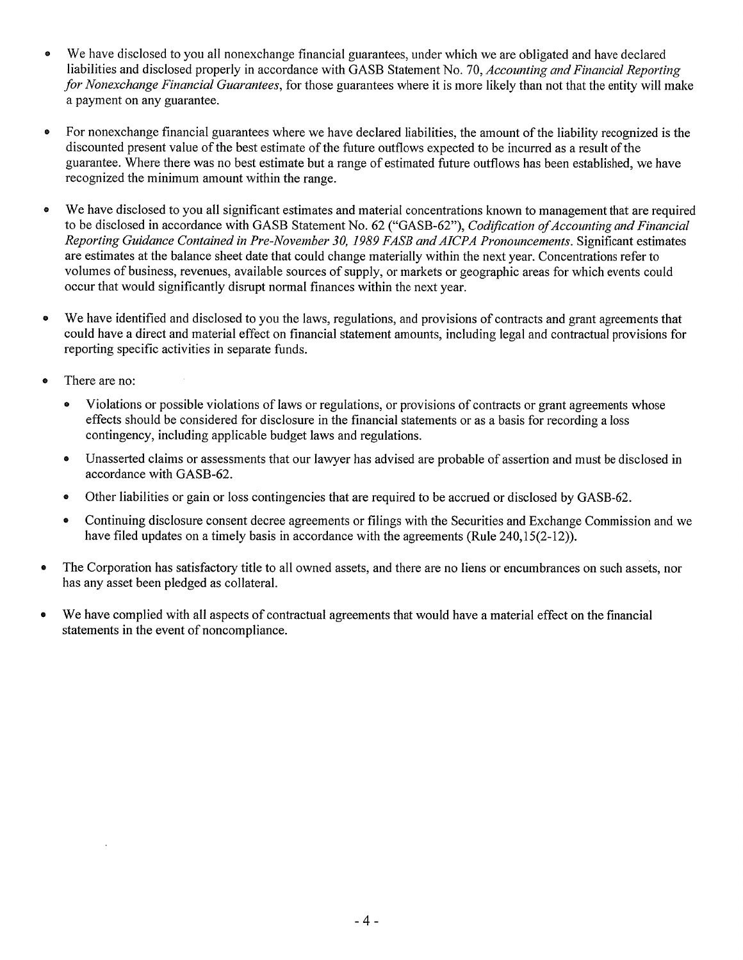- We have disclosed to you all nonexchange financial guarantees, under which we are obligated and have declared  $\bullet$ liabilities and disclosed properly in accordance with GASB Statement No. 70, Accounting and Financial Reporting for Nonexchange Financial Guarantees, for those guarantees where it is more likely than not that the entity will make a payment on any guarantee.
- $\bullet$ For nonexchange financial guarantees where we have declared liabilities, the amount of the liability recognized is the discounted present value of the best estimate of the future outflows expected to be incurred as a result of the guarantee. Where there was no best estimate but a range of estimated future outflows has been established, we have recognized the minimum amount within the range.
- We have disclosed to you all significant estimates and material concentrations known to management that are required  $\bullet$ to be disclosed in accordance with GASB Statement No. 62 ("GASB-62"), Codification of Accounting and Financial Reporting Guidance Contained in Pre-November 30, 1989 FASB and AICPA Pronouncements. Significant estimates are estimates at the balance sheet date that could change materially within the next year. Concentrations refer to volumes of business, revenues, available sources of supply, or markets or geographic areas for which events could occur that would significantly disrupt normal finances within the next year.
- We have identified and disclosed to you the laws, regulations, and provisions of contracts and grant agreements that  $\bullet$ could have a direct and material effect on financial statement amounts, including legal and contractual provisions for reporting specific activities in separate funds.
- There are no:  $\bullet$ 
	- $\bullet$ Violations or possible violations of laws or regulations, or provisions of contracts or grant agreements whose effects should be considered for disclosure in the financial statements or as a basis for recording a loss contingency, including applicable budget laws and regulations.
	- $\bullet$ Unasserted claims or assessments that our lawyer has advised are probable of assertion and must be disclosed in accordance with GASB-62.
	- Other liabilities or gain or loss contingencies that are required to be accrued or disclosed by GASB-62.  $\bullet$
	- Continuing disclosure consent decree agreements or filings with the Securities and Exchange Commission and we  $\bullet$ have filed updates on a timely basis in accordance with the agreements (Rule 240,15(2-12)).
- The Corporation has satisfactory title to all owned assets, and there are no liens or encumbrances on such assets, nor has any asset been pledged as collateral.
- We have complied with all aspects of contractual agreements that would have a material effect on the financial  $\bullet$ statements in the event of noncompliance.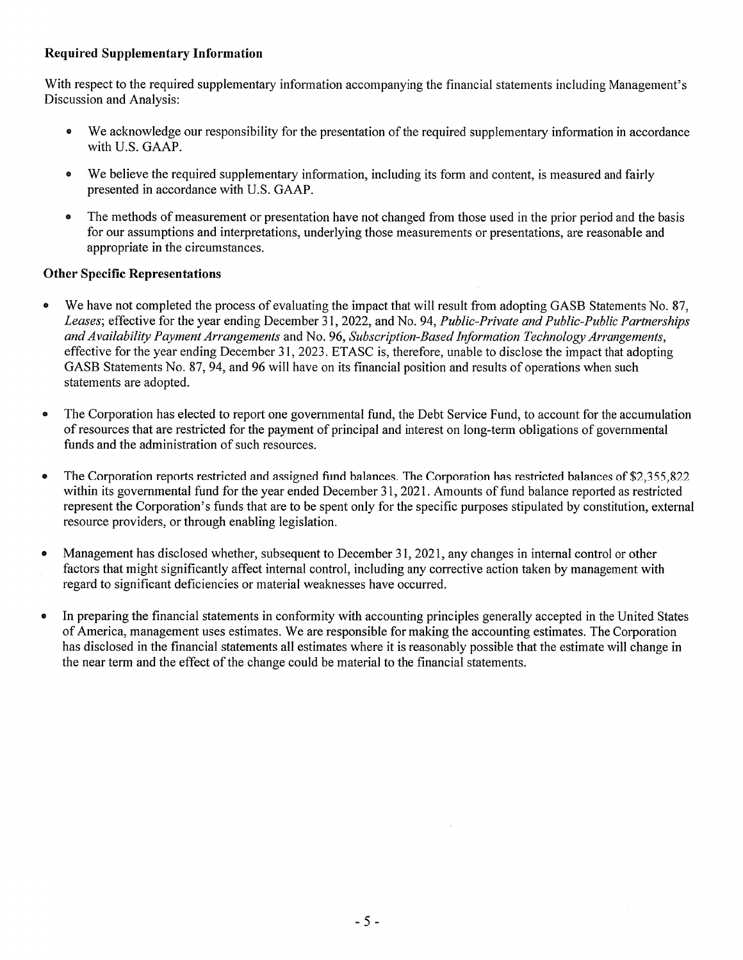## **Required Supplementary Information**

With respect to the required supplementary information accompanying the financial statements including Management's Discussion and Analysis:

- $\bullet$ We acknowledge our responsibility for the presentation of the required supplementary information in accordance with U.S. GAAP.
- We believe the required supplementary information, including its form and content, is measured and fairly  $\bullet$ presented in accordance with U.S. GAAP.
- The methods of measurement or presentation have not changed from those used in the prior period and the basis  $\bullet$ for our assumptions and interpretations, underlying those measurements or presentations, are reasonable and appropriate in the circumstances.

## **Other Specific Representations**

- We have not completed the process of evaluating the impact that will result from adopting GASB Statements No. 87,  $\bullet$ Leases; effective for the year ending December 31, 2022, and No. 94, Public-Private and Public-Public Partnerships and Availability Payment Arrangements and No. 96, Subscription-Based Information Technology Arrangements, effective for the year ending December 31, 2023. ETASC is, therefore, unable to disclose the impact that adopting GASB Statements No. 87, 94, and 96 will have on its financial position and results of operations when such statements are adopted.
- The Corporation has elected to report one governmental fund, the Debt Service Fund, to account for the accumulation of resources that are restricted for the payment of principal and interest on long-term obligations of governmental funds and the administration of such resources.
- The Corporation reports restricted and assigned fund balances. The Corporation has restricted balances of \$2,355,822  $\bullet$ within its governmental fund for the year ended December 31, 2021. Amounts of fund balance reported as restricted represent the Corporation's funds that are to be spent only for the specific purposes stipulated by constitution, external resource providers, or through enabling legislation.
- Management has disclosed whether, subsequent to December 31, 2021, any changes in internal control or other factors that might significantly affect internal control, including any corrective action taken by management with regard to significant deficiencies or material weaknesses have occurred.
- In preparing the financial statements in conformity with accounting principles generally accepted in the United States of America, management uses estimates. We are responsible for making the accounting estimates. The Corporation has disclosed in the financial statements all estimates where it is reasonably possible that the estimate will change in the near term and the effect of the change could be material to the financial statements.